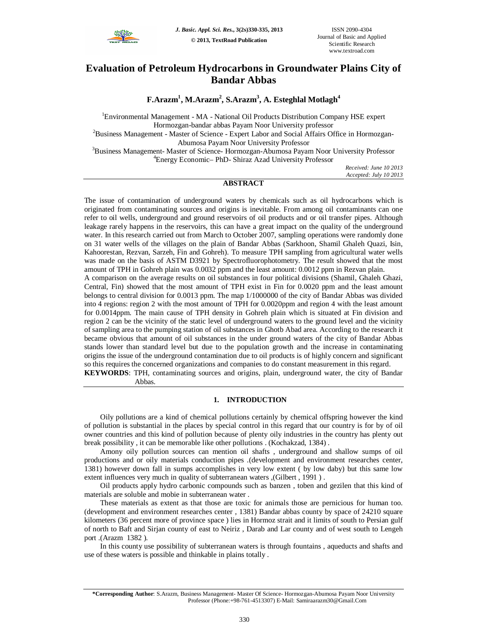

## **Evaluation of Petroleum Hydrocarbons in Groundwater Plains City of Bandar Abbas**

**F.Arazm<sup>1</sup> , M.Arazm<sup>2</sup> , S.Arazm<sup>3</sup> , A. Esteghlal Motlagh<sup>4</sup>**

<sup>1</sup>Environmental Management - MA - National Oil Products Distribution Company HSE expert Hormozgan-bandar abbas Payam Noor University professor <sup>2</sup>Business Management - Master of Science - Expert Labor and Social Affairs Office in Hormozgan-Abumosa Payam Noor University Professor <sup>3</sup>Business Management- Master of Science- Hormozgan-Abumosa Payam Noor University Professor <sup>4</sup>Energy Economic– PhD- Shiraz Azad University Professor

> *Received: June 10 2013 Accepted: July 10 2013*

## **ABSTRACT**

The issue of contamination of underground waters by chemicals such as oil hydrocarbons which is originated from contaminating sources and origins is inevitable. From among oil contaminants can one refer to oil wells, underground and ground reservoirs of oil products and or oil transfer pipes. Although leakage rarely happens in the reservoirs, this can have a great impact on the quality of the underground water. In this research carried out from March to October 2007, sampling operations were randomly done on 31 water wells of the villages on the plain of Bandar Abbas (Sarkhoon, Shamil Ghaleh Quazi, Isin, Kahoorestan, Rezvan, Sarzeh, Fin and Gohreh). To measure TPH sampling from agricultural water wells was made on the basis of ASTM D3921 by Spectrofluorophotometry. The result showed that the most amount of TPH in Gohreh plain was 0.0032 ppm and the least amount: 0.0012 ppm in Rezvan plain.

A comparison on the average results on oil substances in four political divisions (Shamil, Ghaleh Ghazi, Central, Fin) showed that the most amount of TPH exist in Fin for 0.0020 ppm and the least amount belongs to central division for 0.0013 ppm. The map 1/1000000 of the city of Bandar Abbas was divided into 4 regions: region 2 with the most amount of TPH for 0.0020ppm and region 4 with the least amount for 0.0014ppm. The main cause of TPH density in Gohreh plain which is situated at Fin division and region 2 can be the vicinity of the static level of underground waters to the ground level and the vicinity of sampling area to the pumping station of oil substances in Ghotb Abad area. According to the research it became obvious that amount of oil substances in the under ground waters of the city of Bandar Abbas stands lower than standard level but due to the population growth and the increase in contaminating origins the issue of the underground contamination due to oil products is of highly concern and significant so this requires the concerned organizations and companies to do constant measurement in this regard.

**KEYWORDS**: TPH, contaminating sources and origins, plain, underground water, the city of Bandar Abbas.

## **1. INTRODUCTION**

Oily pollutions are a kind of chemical pollutions certainly by chemical offspring however the kind of pollution is substantial in the places by special control in this regard that our country is for by of oil owner countries and this kind of pollution because of plenty oily industries in the country has plenty out break possibility , it can be memorable like other pollutions . (Kochakzad, 1384) .

Amony oily pollution sources can mention oil shafts , underground and shallow sumps of oil productions and or oily materials conduction pipes .(development and environment researches center, 1381) however down fall in sumps accomplishes in very low extent ( by low daby) but this same low extent influences very much in quality of subterranean waters ,(Gilbert , 1991 ) .

Oil products apply hydro carbonic compounds such as banzen , toben and gezilen that this kind of materials are soluble and mobie in subterranean water .

These materials as extent as that those are toxic for animals those are pernicious for human too. (development and environment researches center , 1381) Bandar abbas county by space of 24210 square kilometers (36 percent more of province space ) lies in Hormoz strait and it limits of south to Persian gulf of north to Baft and Sirjan county of east to Neiriz , Darab and Lar county and of west south to Lengeh port .(Arazm 1382 ).

In this county use possibility of subterranean waters is through fountains , aqueducts and shafts and use of these waters is possible and thinkable in plains totally .

**<sup>\*</sup>Corresponding Author**: S.Arazm, Business Management- Master Of Science- Hormozgan-Abumosa Payam Noor University Professor (Phone:+98-761-4513307) E-Mail: Samiraarazm30@Gmail.Com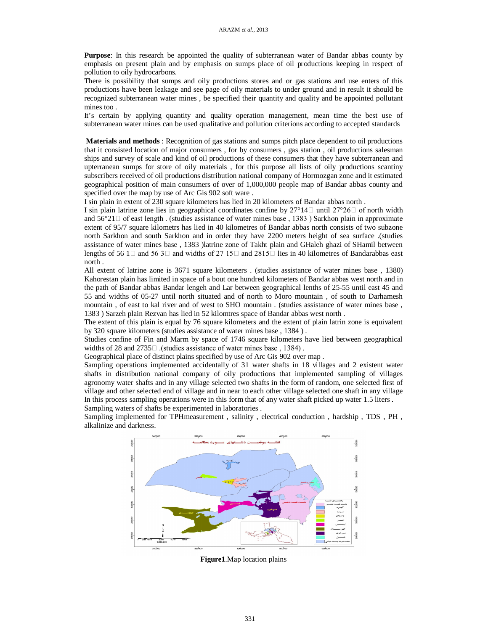**Purpose**: In this research be appointed the quality of subterranean water of Bandar abbas county by emphasis on present plain and by emphasis on sumps place of oil productions keeping in respect of pollution to oily hydrocarbons.

There is possibility that sumps and oily productions stores and or gas stations and use enters of this productions have been leakage and see page of oily materials to under ground and in result it should be recognized subterranean water mines , be specified their quantity and quality and be appointed pollutant mines too .

It's certain by applying quantity and quality operation management, mean time the best use of subterranean water mines can be used qualitative and pollution criterions according to accepted standards

**Materials and methods** : Recognition of gas stations and sumps pitch place dependent to oil productions that it consisted location of major consumers , for by consumers , gas station , oil productions salesman ships and survey of scale and kind of oil productions of these consumers that they have subterranean and upterranean sumps for store of oily materials , for this purpose all lists of oily productions scantiny subscribers received of oil productions distribution national company of Hormozgan zone and it estimated geographical position of main consumers of over of 1,000,000 people map of Bandar abbas county and specified over the map by use of Arc Gis 902 soft ware .

I sin plain in extent of 230 square kilometers has lied in 20 kilometers of Bandar abbas north .

I sin plain latrine zone lies in geographical coordinates confine by  $27^{\circ}14 \square$  until  $27^{\circ}26 \square$  of north width and  $56^{\circ}21 \Box$  of east length . (studies assistance of water mines base, 1383) Sarkhon plain in approximate extent of 95/7 square kilometrs has lied in 40 kilometres of Bandar abbas north consists of two subzone north Sarkhon and south Sarkhon and in order they have 2200 meters height of sea surface .(studies assistance of water mines base , 1383 )latrine zone of Takht plain and GHaleh ghazi of SHamil between lengths of 56 1  $\Box$  and 56 3  $\Box$  and widths of 27 15  $\Box$  and 2815  $\Box$  lies in 40 kilometres of Bandarabbas east north .

All extent of latrine zone is 3671 square kilometers . (studies assistance of water mines base , 1380) Kahorestan plain has limited in space of a bout one hundred kilometers of Bandar abbas west north and in the path of Bandar abbas Bandar lengeh and Lar between geographical lenths of 25-55 until east 45 and 55 and widths of 05-27 until north situated and of north to Moro mountain , of south to Darhamesh mountain , of east to kal river and of west to SHO mountain . (studies assistance of water mines base , 1383 ) Sarzeh plain Rezvan has lied in 52 kilomtres space of Bandar abbas west north .

The extent of this plain is equal by 76 square kilometers and the extent of plain latrin zone is equivalent by 320 square kilometers (studies assistance of water mines base , 1384 ) .

Studies confine of Fin and Marm by space of 1746 square kilometers have lied between geographical widths of 28 and  $2735\Box$  (studies assistance of water mines base, 1384).

Geographical place of distinct plains specified by use of Arc Gis 902 over map .

Sampling operations implemented accidentally of 31 water shafts in 18 villages and 2 existent water shafts in distribution national company of oily productions that implemented sampling of villages agronomy water shafts and in any village selected two shafts in the form of random, one selected first of village and other selected end of village and in near to each other village selected one shaft in any village In this process sampling operations were in this form that of any water shaft picked up water 1.5 liters . Sampling waters of shafts be experimented in laboratories .

Sampling implemented for TPHmeasurement , salinity , electrical conduction , hardship , TDS , PH , alkalinize and darkness.



**Figure1**.Map location plains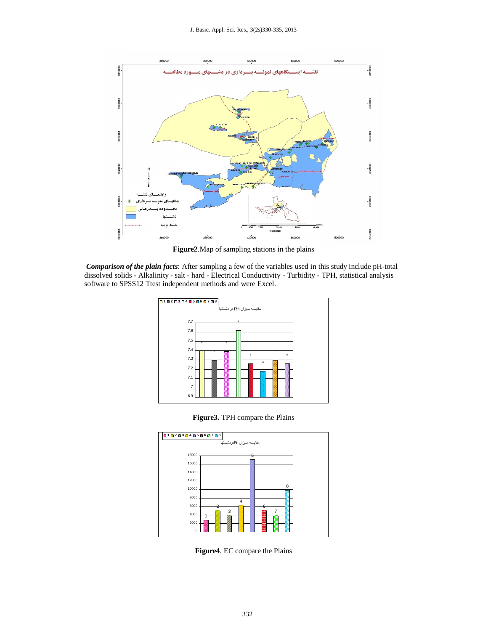

Figure2. Map of sampling stations in the plains

Comparison of the plain facts: After sampling a few of the variables used in this study include pH-total dissolved solids - Alkalinity - salt - hard - Electrical Conductivity - Turbidity - TPH, statistical analysis software to SPSS12 Ttest independent methods and were Excel.



Figure 3. TPH compare the Plains



Figure4. EC compare the Plains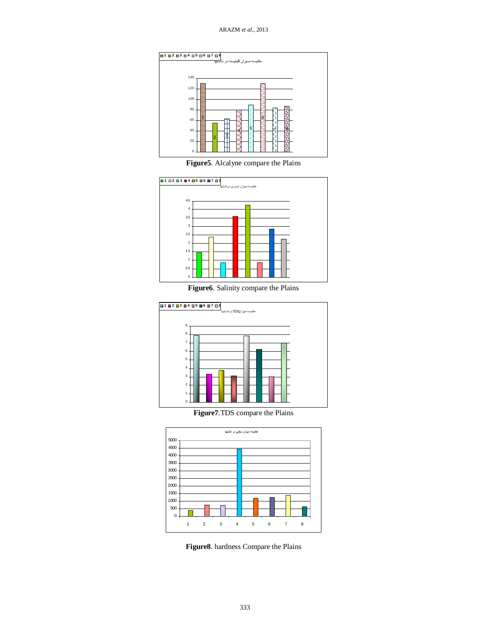

**Figure5**. Alcalyne compare the Plains



**Figure6**. Salinity compare the Plains



**Figure7**.TDS compare the Plains



**Figure8**. hardness Compare the Plains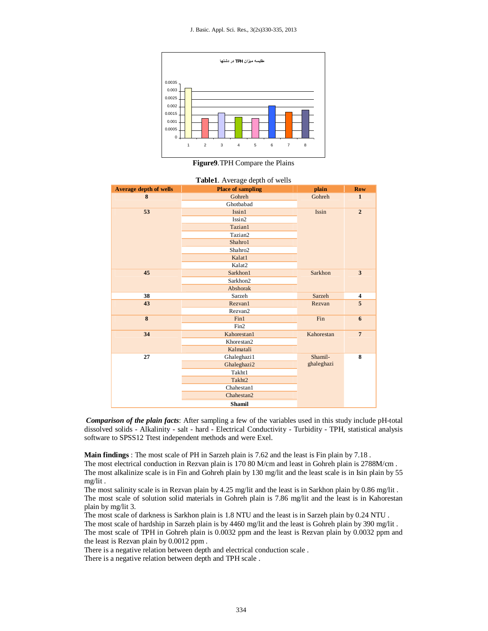

**Figure9**.TPH Compare the Plains

| <b>Average depth of wells</b> | <b>Place of sampling</b> | plain      | <b>Row</b>              |
|-------------------------------|--------------------------|------------|-------------------------|
| 8                             | Gohreh                   | Gohreh     | $\mathbf{1}$            |
|                               | Ghotbabad                |            |                         |
| 53                            | Issin1                   | Issin      | $\overline{2}$          |
|                               | Issin2                   |            |                         |
|                               | Tazian1                  |            |                         |
|                               | Tazian2                  |            |                         |
|                               | Shahro1                  |            |                         |
|                               | Shahro2                  |            |                         |
|                               | Kalat1                   |            |                         |
|                               | Kalat2                   |            |                         |
| 45                            | Sarkhon1                 | Sarkhon    | $\overline{\mathbf{3}}$ |
|                               | Sarkhon2                 |            |                         |
|                               | Abshorak                 |            |                         |
| 38                            | Sarzeh                   | Sarzeh     | 4                       |
| 43                            | Rezvan1                  | Rezvan     | 5                       |
|                               | Rezvan2                  |            |                         |
| 8                             | Fin1                     | Fin        | 6                       |
|                               | Fin2                     |            |                         |
| 34                            | Kahorestan1              | Kahorestan | $\overline{7}$          |
|                               | Khorestan2               |            |                         |
|                               | Kalmatali                |            |                         |
| 27                            | Ghaleghazi1              | Shamil-    | 8                       |
|                               | Ghaleghazi2              | ghaleghazi |                         |
|                               | Takht1                   |            |                         |
|                               | Takht2                   |            |                         |
|                               | Chahestan1               |            |                         |
|                               | Chahestan <sub>2</sub>   |            |                         |
|                               | <b>Shamil</b>            |            |                         |

*Comparison of the plain facts*: After sampling a few of the variables used in this study include pH-total dissolved solids - Alkalinity - salt - hard - Electrical Conductivity - Turbidity - TPH, statistical analysis software to SPSS12 Ttest independent methods and were Exel.

**Main findings** : The most scale of PH in Sarzeh plain is 7.62 and the least is Fin plain by 7.18 .

The most electrical conduction in Rezvan plain is 170 80 M/cm and least in Gohreh plain is 2788M/cm . The most alkalinize scale is in Fin and Gohreh plain by 130 mg/lit and the least scale is in Isin plain by 55 mg/lit .

The most salinity scale is in Rezvan plain by 4.25 mg/lit and the least is in Sarkhon plain by 0.86 mg/lit. The most scale of solution solid materials in Gohreh plain is 7.86 mg/lit and the least is in Kahorestan plain by mg/lit 3.

The most scale of darkness is Sarkhon plain is 1.8 NTU and the least is in Sarzeh plain by 0.24 NTU .

The most scale of hardship in Sarzeh plain is by 4460 mg/lit and the least is Gohreh plain by 390 mg/lit. The most scale of TPH in Gohreh plain is 0.0032 ppm and the least is Rezvan plain by 0.0032 ppm and the least is Rezvan plain by 0.0012 ppm .

There is a negative relation between depth and electrical conduction scale .

There is a negative relation between depth and TPH scale .